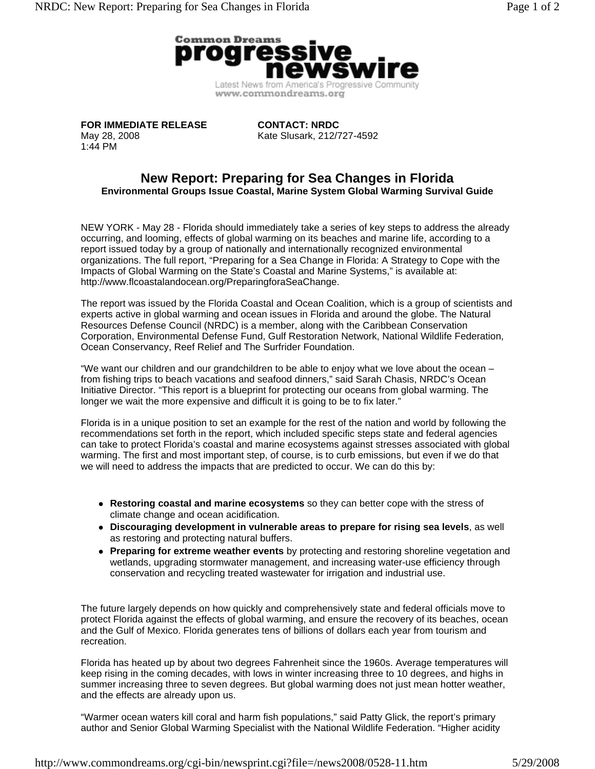

**FOR IMMEDIATE RELEASE** May 28, 2008 1:44 PM

**CONTACT: NRDC**  Kate Slusark, 212/727-4592

## **New Report: Preparing for Sea Changes in Florida Environmental Groups Issue Coastal, Marine System Global Warming Survival Guide**

NEW YORK - May 28 - Florida should immediately take a series of key steps to address the already occurring, and looming, effects of global warming on its beaches and marine life, according to a report issued today by a group of nationally and internationally recognized environmental organizations. The full report, "Preparing for a Sea Change in Florida: A Strategy to Cope with the Impacts of Global Warming on the State's Coastal and Marine Systems," is available at: http://www.flcoastalandocean.org/PreparingforaSeaChange.

The report was issued by the Florida Coastal and Ocean Coalition, which is a group of scientists and experts active in global warming and ocean issues in Florida and around the globe. The Natural Resources Defense Council (NRDC) is a member, along with the Caribbean Conservation Corporation, Environmental Defense Fund, Gulf Restoration Network, National Wildlife Federation, Ocean Conservancy, Reef Relief and The Surfrider Foundation.

"We want our children and our grandchildren to be able to enjoy what we love about the ocean – from fishing trips to beach vacations and seafood dinners," said Sarah Chasis, NRDC's Ocean Initiative Director. "This report is a blueprint for protecting our oceans from global warming. The longer we wait the more expensive and difficult it is going to be to fix later."

Florida is in a unique position to set an example for the rest of the nation and world by following the recommendations set forth in the report, which included specific steps state and federal agencies can take to protect Florida's coastal and marine ecosystems against stresses associated with global warming. The first and most important step, of course, is to curb emissions, but even if we do that we will need to address the impacts that are predicted to occur. We can do this by:

- Restoring coastal and marine ecosystems so they can better cope with the stress of climate change and ocean acidification.
- Discouraging development in vulnerable areas to prepare for rising sea levels, as well as restoring and protecting natural buffers.
- **Preparing for extreme weather events** by protecting and restoring shoreline vegetation and wetlands, upgrading stormwater management, and increasing water-use efficiency through conservation and recycling treated wastewater for irrigation and industrial use.

The future largely depends on how quickly and comprehensively state and federal officials move to protect Florida against the effects of global warming, and ensure the recovery of its beaches, ocean and the Gulf of Mexico. Florida generates tens of billions of dollars each year from tourism and recreation.

Florida has heated up by about two degrees Fahrenheit since the 1960s. Average temperatures will keep rising in the coming decades, with lows in winter increasing three to 10 degrees, and highs in summer increasing three to seven degrees. But global warming does not just mean hotter weather, and the effects are already upon us.

"Warmer ocean waters kill coral and harm fish populations," said Patty Glick, the report's primary author and Senior Global Warming Specialist with the National Wildlife Federation. "Higher acidity